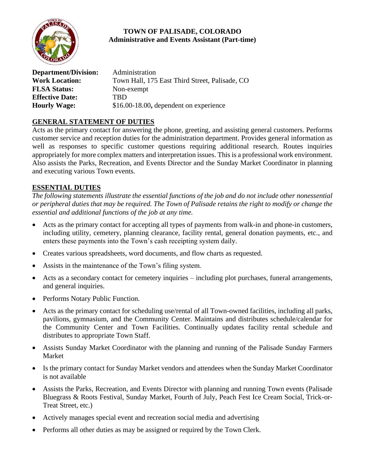

# **TOWN OF PALISADE, COLORADO Administrative and Events Assistant (Part-time)**

| <b>Department/Division:</b> | Administration                                 |
|-----------------------------|------------------------------------------------|
| <b>Work Location:</b>       | Town Hall, 175 East Third Street, Palisade, CO |
| <b>FLSA Status:</b>         | Non-exempt                                     |
| <b>Effective Date:</b>      | TRD                                            |
| <b>Hourly Wage:</b>         | $$16.00-18.00$ , dependent on experience       |

## **GENERAL STATEMENT OF DUTIES**

Acts as the primary contact for answering the phone, greeting, and assisting general customers. Performs customer service and reception duties for the administration department. Provides general information as well as responses to specific customer questions requiring additional research. Routes inquiries appropriately for more complex matters and interpretation issues. This is a professional work environment. Also assists the Parks, Recreation, and Events Director and the Sunday Market Coordinator in planning and executing various Town events.

## **ESSENTIAL DUTIES**

*The following statements illustrate the essential functions of the job and do not include other nonessential or peripheral duties that may be required. The Town of Palisade retains the right to modify or change the essential and additional functions of the job at any time.*

- Acts as the primary contact for accepting all types of payments from walk-in and phone-in customers, including utility, cemetery, planning clearance, facility rental, general donation payments, etc., and enters these payments into the Town's cash receipting system daily.
- Creates various spreadsheets, word documents, and flow charts as requested.
- Assists in the maintenance of the Town's filing system.
- Acts as a secondary contact for cemetery inquiries including plot purchases, funeral arrangements, and general inquiries.
- Performs Notary Public Function.
- Acts as the primary contact for scheduling use/rental of all Town-owned facilities, including all parks, pavilions, gymnasium, and the Community Center. Maintains and distributes schedule/calendar for the Community Center and Town Facilities. Continually updates facility rental schedule and distributes to appropriate Town Staff.
- Assists Sunday Market Coordinator with the planning and running of the Palisade Sunday Farmers Market
- Is the primary contact for Sunday Market vendors and attendees when the Sunday Market Coordinator is not available
- Assists the Parks, Recreation, and Events Director with planning and running Town events (Palisade Bluegrass & Roots Festival, Sunday Market, Fourth of July, Peach Fest Ice Cream Social, Trick-or-Treat Street, etc.)
- Actively manages special event and recreation social media and advertising
- Performs all other duties as may be assigned or required by the Town Clerk.